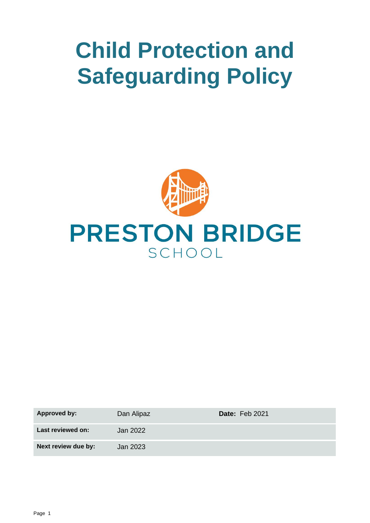# **Child Protection and Safeguarding Policy**



| <b>Approved by:</b> | Dan Alipaz | <b>Date: Feb 2021</b> |
|---------------------|------------|-----------------------|
| Last reviewed on:   | Jan 2022   |                       |
| Next review due by: | Jan 2023   |                       |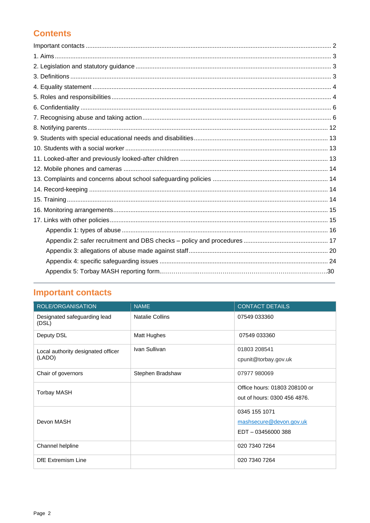# **Contents**

# <span id="page-1-0"></span>**Important contacts**

| ROLE/ORGANISATION                     | <b>NAME</b>            | <b>CONTACT DETAILS</b>        |
|---------------------------------------|------------------------|-------------------------------|
| Designated safeguarding lead<br>(DSL) | <b>Natalie Collins</b> | 07549 033360                  |
| Deputy DSL                            | Matt Hughes            | 07549 033360                  |
| Local authority designated officer    | Ivan Sullivan          | 01803 208541                  |
| (LADO)                                |                        | cpunit@torbay.gov.uk          |
| Chair of governors                    | Stephen Bradshaw       | 07977 980069                  |
| <b>Torbay MASH</b>                    |                        | Office hours: 01803 208100 or |
|                                       |                        | out of hours: 0300 456 4876.  |
|                                       |                        | 0345 155 1071                 |
| Devon MASH                            |                        | mashsecure@devon.gov.uk       |
|                                       |                        | EDT-03456000388               |
| Channel helpline                      |                        | 020 7340 7264                 |
| <b>DfE</b> Extremism Line             |                        | 020 7340 7264                 |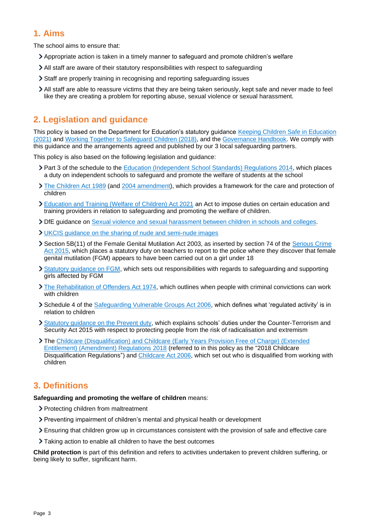# <span id="page-2-0"></span>**1. Aims**

The school aims to ensure that:

- Appropriate action is taken in a timely manner to safeguard and promote children's welfare
- All staff are aware of their statutory responsibilities with respect to safeguarding
- Staff are properly training in recognising and reporting safeguarding issues
- All staff are able to reassure victims that they are being taken seriously, kept safe and never made to feel like they are creating a problem for reporting abuse, sexual violence or sexual harassment.

# <span id="page-2-1"></span>**2. Legislation and guidance**

This policy is based on the Department for Education's statutory guidance Keeping Children Safe in Education [\(2021\)](https://www.gov.uk/government/publications/keeping-children-safe-in-education--2) and [Working Together to Safeguard Children \(2018\),](https://www.gov.uk/government/publications/working-together-to-safeguard-children--2) and the [Governance Handbook.](https://www.gov.uk/government/publications/governance-handbook) We comply with this guidance and the arrangements agreed and published by our 3 local safeguarding partners.

This policy is also based on the following legislation and guidance:

- Part 3 of the schedule to the [Education \(Independent School Standards\) Regulations 2014,](http://www.legislation.gov.uk/uksi/2014/3283/schedule/part/3/made) which places a duty on independent schools to safeguard and promote the welfare of students at the school
- [The Children Act 1989](http://www.legislation.gov.uk/ukpga/1989/41) (and [2004 amendment\)](http://www.legislation.gov.uk/ukpga/2004/31/contents), which provides a framework for the care and protection of children
- [Education and Training \(Welfare of Children\) Act 2021](https://www.legislation.gov.uk/ukpga/2021/16) an Act to impose duties on certain education and training providers in relation to safeguarding and promoting the welfare of children.
- DfE guidance on Sexual violence and sexual harassment [between children in schools and colleges.](https://www.gov.uk/government/publications/sexual-violence-and-sexual-harassment-between-children-in-schools-and-colleges)
- [UKCIS guidance on the sharing of nude and semi-nude images](https://www.gov.uk/government/publications/sharing-nudes-and-semi-nudes-advice-for-education-settings-working-with-children-and-young-people)
- Section 5B(11) of the Female Genital Mutilation Act 2003, as inserted by section 74 of the Serious Crime [Act 2015,](http://www.legislation.gov.uk/ukpga/2015/9/part/5/crossheading/female-genital-mutilation) which places a statutory duty on teachers to report to the police where they discover that female genital mutilation (FGM) appears to have been carried out on a girl under 18
- Statutory [guidance on FGM,](https://www.gov.uk/government/publications/multi-agency-statutory-guidance-on-female-genital-mutilation) which sets out responsibilities with regards to safeguarding and supporting girls affected by FGM
- [The Rehabilitation of Offenders Act 1974,](http://www.legislation.gov.uk/ukpga/1974/53) which outlines when people with criminal convictions can work with children
- Schedule 4 of the [Safeguarding Vulnerable Groups Act 2006,](http://www.legislation.gov.uk/ukpga/2006/47/schedule/4) which defines what 'regulated activity' is in relation to children
- > [Statutory guidance on the Prevent duty,](https://www.gov.uk/government/publications/prevent-duty-guidance) which explains schools' duties under the Counter-Terrorism and Security Act 2015 with respect to protecting people from the risk of radicalisation and extremism
- The Childcare (Disqualification) [and Childcare \(Early Years Provision Free of Charge\) \(Extended](http://www.legislation.gov.uk/uksi/2018/794/contents/made)  [Entitlement\) \(Amendment\) Regulations 2018](http://www.legislation.gov.uk/uksi/2018/794/contents/made) (referred to in this policy as the "2018 Childcare Disqualification Regulations") and [Childcare Act 2006,](http://www.legislation.gov.uk/ukpga/2006/21/contents) which set out who is disqualified from working with children

# <span id="page-2-2"></span>**3. Definitions**

### **Safeguarding and promoting the welfare of children** means:

- > Protecting children from maltreatment
- Preventing impairment of children's mental and physical health or development
- Ensuring that children grow up in circumstances consistent with the provision of safe and effective care
- Taking action to enable all children to have the best outcomes

**Child protection** is part of this definition and refers to activities undertaken to prevent children suffering, or being likely to suffer, significant harm.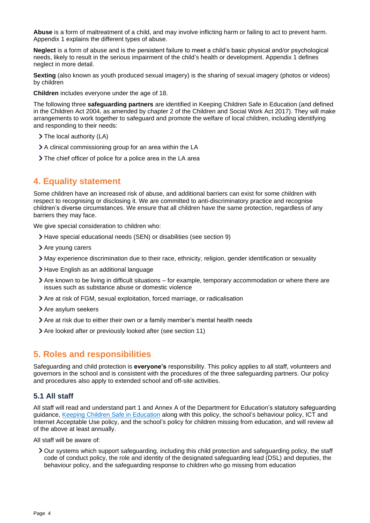**Abuse** is a form of maltreatment of a child, and may involve inflicting harm or failing to act to prevent harm. Appendix 1 explains the different types of abuse.

**Neglect** is a form of abuse and is the persistent failure to meet a child's basic physical and/or psychological needs, likely to result in the serious impairment of the child's health or development. Appendix 1 defines neglect in more detail.

**Sexting** (also known as youth produced sexual imagery) is the sharing of sexual imagery (photos or videos) by children

**Children** includes everyone under the age of 18.

The following three **safeguarding partners** are identified in Keeping Children Safe in Education (and defined in the Children Act 2004, as amended by chapter 2 of the Children and Social Work Act 2017). They will make arrangements to work together to safeguard and promote the welfare of local children, including identifying and responding to their needs:

- > The local authority (LA)
- A clinical commissioning group for an area within the LA
- The chief officer of police for a police area in the LA area

# <span id="page-3-0"></span>**4. Equality statement**

Some children have an increased risk of abuse, and additional barriers can exist for some children with respect to recognising or disclosing it. We are committed to anti-discriminatory practice and recognise children's diverse circumstances. We ensure that all children have the same protection, regardless of any barriers they may face.

We give special consideration to children who:

- Have special educational needs (SEN) or disabilities (see section 9)
- > Are young carers
- May experience discrimination due to their race, ethnicity, religion, gender identification or sexuality
- > Have English as an additional language
- Are known to be living in difficult situations for example, temporary accommodation or where there are issues such as substance abuse or domestic violence
- Are at risk of FGM, sexual exploitation, forced marriage, or radicalisation
- > Are asylum seekers
- Are at risk due to either their own or a family member's mental health needs
- Are looked after or previously looked after (see section 11)

# <span id="page-3-1"></span>**5. Roles and responsibilities**

Safeguarding and child protection is **everyone's** responsibility. This policy applies to all staff, volunteers and governors in the school and is consistent with the procedures of the three safeguarding partners. Our policy and procedures also apply to extended school and off-site activities.

### **5.1 All staff**

All staff will read and understand part 1 and Annex A of the Department for Education's statutory safeguarding guidance, [Keeping Children Safe in Education](https://www.gov.uk/government/publications/keeping-children-safe-in-education--2) along with this policy, the school's behaviour policy, ICT and Internet Acceptable Use policy, and the school's policy for children missing from education, and will review all of the above at least annually.

All staff will be aware of:

Our systems which support safeguarding, including this child protection and safeguarding policy, the staff code of conduct policy, the role and identity of the designated safeguarding lead (DSL) and deputies, the behaviour policy, and the safeguarding response to children who go missing from education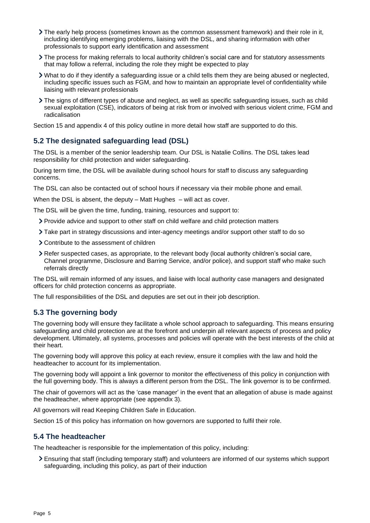- The early help process (sometimes known as the common assessment framework) and their role in it, including identifying emerging problems, liaising with the DSL, and sharing information with other professionals to support early identification and assessment
- The process for making referrals to local authority children's social care and for statutory assessments that may follow a referral, including the role they might be expected to play
- What to do if they identify a safeguarding issue or a child tells them they are being abused or neglected, including specific issues such as FGM, and how to maintain an appropriate level of confidentiality while liaising with relevant professionals
- The signs of different types of abuse and neglect, as well as specific safeguarding issues, such as child sexual exploitation (CSE), indicators of being at risk from or involved with serious violent crime, FGM and radicalisation

Section 15 and appendix 4 of this policy outline in more detail how staff are supported to do this.

# **5.2 The designated safeguarding lead (DSL)**

The DSL is a member of the senior leadership team. Our DSL is Natalie Collins. The DSL takes lead responsibility for child protection and wider safeguarding.

During term time, the DSL will be available during school hours for staff to discuss any safeguarding concerns.

The DSL can also be contacted out of school hours if necessary via their mobile phone and email.

When the DSL is absent, the deputy – Matt Hughes – will act as cover.

The DSL will be given the time, funding, training, resources and support to:

- Provide advice and support to other staff on child welfare and child protection matters
- Take part in strategy discussions and inter-agency meetings and/or support other staff to do so
- Contribute to the assessment of children
- Refer suspected cases, as appropriate, to the relevant body (local authority children's social care, Channel programme, Disclosure and Barring Service, and/or police), and support staff who make such referrals directly

The DSL will remain informed of any issues, and liaise with local authority case managers and designated officers for child protection concerns as appropriate.

The full responsibilities of the DSL and deputies are set out in their job description.

# **5.3 The governing body**

The governing body will ensure they facilitate a whole school approach to safeguarding. This means ensuring safeguarding and child protection are at the forefront and underpin all relevant aspects of process and policy development. Ultimately, all systems, processes and policies will operate with the best interests of the child at their heart.

The governing body will approve this policy at each review, ensure it complies with the law and hold the headteacher to account for its implementation.

The governing body will appoint a link governor to monitor the effectiveness of this policy in conjunction with the full governing body. This is always a different person from the DSL. The link governor is to be confirmed.

The chair of governors will act as the 'case manager' in the event that an allegation of abuse is made against the headteacher, where appropriate (see appendix 3).

All governors will read Keeping Children Safe in Education.

Section 15 of this policy has information on how governors are supported to fulfil their role.

### **5.4 The headteacher**

The headteacher is responsible for the implementation of this policy, including:

Ensuring that staff (including temporary staff) and volunteers are informed of our systems which support safeguarding, including this policy, as part of their induction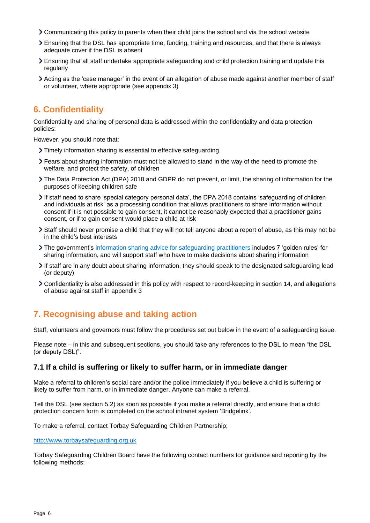- Communicating this policy to parents when their child joins the school and via the school website
- Ensuring that the DSL has appropriate time, funding, training and resources, and that there is always adequate cover if the DSL is absent
- Ensuring that all staff undertake appropriate safeguarding and child protection training and update this regularly
- Acting as the 'case manager' in the event of an allegation of abuse made against another member of staff or volunteer, where appropriate (see appendix 3)

# <span id="page-5-0"></span>**6. Confidentiality**

Confidentiality and sharing of personal data is addressed within the confidentiality and data protection policies:

However, you should note that:

- Timely information sharing is essential to effective safeguarding
- Fears about sharing information must not be allowed to stand in the way of the need to promote the welfare, and protect the safety, of children
- The Data Protection Act (DPA) 2018 and GDPR do not prevent, or limit, the sharing of information for the purposes of keeping children safe
- If staff need to share 'special category personal data', the DPA 2018 contains 'safeguarding of children and individuals at risk' as a processing condition that allows practitioners to share information without consent if it is not possible to gain consent, it cannot be reasonably expected that a practitioner gains consent, or if to gain consent would place a child at risk
- Staff should never promise a child that they will not tell anyone about a report of abuse, as this may not be in the child's best interests
- The government's [information sharing advice for safeguarding practitioners](https://www.gov.uk/government/publications/safeguarding-practitioners-information-sharing-advice) includes 7 'golden rules' for sharing information, and will support staff who have to make decisions about sharing information
- If staff are in any doubt about sharing information, they should speak to the designated safeguarding lead (or deputy)
- Confidentiality is also addressed in this policy with respect to record-keeping in section 14, and allegations of abuse against staff in appendix 3

# <span id="page-5-1"></span>**7. Recognising abuse and taking action**

Staff, volunteers and governors must follow the procedures set out below in the event of a safeguarding issue.

Please note – in this and subsequent sections, you should take any references to the DSL to mean "the DSL (or deputy DSL)".

# **7.1 If a child is suffering or likely to suffer harm, or in immediate danger**

Make a referral to children's social care and/or the police immediately if you believe a child is suffering or likely to suffer from harm, or in immediate danger. Anyone can make a referral.

Tell the DSL (see section 5.2) as soon as possible if you make a referral directly, and ensure that a child protection concern form is completed on the school intranet system 'Bridgelink'.

To make a referral, contact Torbay Safeguarding Children Partnership;

#### [http://www.torbaysafeguarding.org.uk](http://www.torbaysafeguarding.org.uk/)

Torbay Safeguarding Children Board have the following contact numbers for guidance and reporting by the following methods: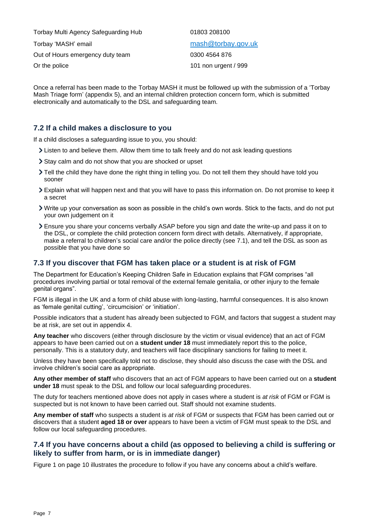Torbay Multi Agency Safeguarding Hub 01803 208100 Torbay 'MASH' email mash @torbay.gov.uk Out of Hours emergency duty team 0300 4564 876 Or the police 101 non urgent / 999

Once a referral has been made to the Torbay MASH it must be followed up with the submission of a 'Torbay Mash Triage form' (appendix 5), and an internal children protection concern form, which is submitted electronically and automatically to the DSL and safeguarding team.

# **7.2 If a child makes a disclosure to you**

If a child discloses a safeguarding issue to you, you should:

- Listen to and believe them. Allow them time to talk freely and do not ask leading questions
- Stay calm and do not show that you are shocked or upset
- Tell the child they have done the right thing in telling you. Do not tell them they should have told you sooner
- Explain what will happen next and that you will have to pass this information on. Do not promise to keep it a secret
- Write up your conversation as soon as possible in the child's own words. Stick to the facts, and do not put your own judgement on it
- Ensure you share your concerns verbally ASAP before you sign and date the write-up and pass it on to the DSL, or complete the child protection concern form direct with details. Alternatively, if appropriate, make a referral to children's social care and/or the police directly (see 7.1), and tell the DSL as soon as possible that you have done so

# **7.3 If you discover that FGM has taken place or a student is at risk of FGM**

The Department for Education's Keeping Children Safe in Education explains that FGM comprises "all procedures involving partial or total removal of the external female genitalia, or other injury to the female genital organs".

FGM is illegal in the UK and a form of child abuse with long-lasting, harmful consequences. It is also known as 'female genital cutting', 'circumcision' or 'initiation'.

Possible indicators that a student has already been subjected to FGM, and factors that suggest a student may be at risk, are set out in appendix 4.

**Any teacher** who discovers (either through disclosure by the victim or visual evidence) that an act of FGM appears to have been carried out on a **student under 18** must immediately report this to the police, personally. This is a statutory duty, and teachers will face disciplinary sanctions for failing to meet it.

Unless they have been specifically told not to disclose, they should also discuss the case with the DSL and involve children's social care as appropriate.

**Any other member of staff** who discovers that an act of FGM appears to have been carried out on a **student under 18** must speak to the DSL and follow our local safeguarding procedures.

The duty for teachers mentioned above does not apply in cases where a student is *at risk* of FGM or FGM is suspected but is not known to have been carried out. Staff should not examine students.

**Any member of staff** who suspects a student is *at risk* of FGM or suspects that FGM has been carried out or discovers that a student **aged 18 or over** appears to have been a victim of FGM must speak to the DSL and follow our local safeguarding procedures.

# **7.4 If you have concerns about a child (as opposed to believing a child is suffering or likely to suffer from harm, or is in immediate danger)**

Figure 1 on page 10 illustrates the procedure to follow if you have any concerns about a child's welfare.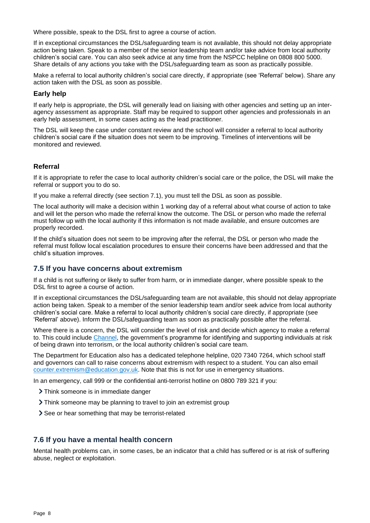Where possible, speak to the DSL first to agree a course of action.

If in exceptional circumstances the DSL/safeguarding team is not available, this should not delay appropriate action being taken. Speak to a member of the senior leadership team and/or take advice from local authority children's social care. You can also seek advice at any time from the NSPCC helpline on 0808 800 5000. Share details of any actions you take with the DSL/safeguarding team as soon as practically possible.

Make a referral to local authority children's social care directly, if appropriate (see 'Referral' below). Share any action taken with the DSL as soon as possible.

#### **Early help**

If early help is appropriate, the DSL will generally lead on liaising with other agencies and setting up an interagency assessment as appropriate. Staff may be required to support other agencies and professionals in an early help assessment, in some cases acting as the lead practitioner.

The DSL will keep the case under constant review and the school will consider a referral to local authority children's social care if the situation does not seem to be improving. Timelines of interventions will be monitored and reviewed.

### **Referral**

If it is appropriate to refer the case to local authority children's social care or the police, the DSL will make the referral or support you to do so.

If you make a referral directly (see section 7.1), you must tell the DSL as soon as possible.

The local authority will make a decision within 1 working day of a referral about what course of action to take and will let the person who made the referral know the outcome. The DSL or person who made the referral must follow up with the local authority if this information is not made available, and ensure outcomes are properly recorded.

If the child's situation does not seem to be improving after the referral, the DSL or person who made the referral must follow local escalation procedures to ensure their concerns have been addressed and that the child's situation improves.

### **7.5 If you have concerns about extremism**

If a child is not suffering or likely to suffer from harm, or in immediate danger, where possible speak to the DSL first to agree a course of action.

If in exceptional circumstances the DSL/safeguarding team are not available, this should not delay appropriate action being taken. Speak to a member of the senior leadership team and/or seek advice from local authority children's social care. Make a referral to local authority children's social care directly, if appropriate (see 'Referral' above). Inform the DSL/safeguarding team as soon as practically possible after the referral.

Where there is a concern, the DSL will consider the level of risk and decide which agency to make a referral to. This could include [Channel,](https://www.gov.uk/government/publications/channel-guidance) the government's programme for identifying and supporting individuals at risk of being drawn into terrorism, or the local authority children's social care team.

The Department for Education also has a dedicated telephone helpline, 020 7340 7264, which school staff and governors can call to raise concerns about extremism with respect to a student. You can also email [counter.extremism@education.gov.uk.](mailto:counter.extremism@education.gov.uk) Note that this is not for use in emergency situations.

In an emergency, call 999 or the confidential anti-terrorist hotline on 0800 789 321 if you:

- > Think someone is in immediate danger
- Think someone may be planning to travel to join an extremist group
- See or hear something that may be terrorist-related

### **7.6 If you have a mental health concern**

Mental health problems can, in some cases, be an indicator that a child has suffered or is at risk of suffering abuse, neglect or exploitation.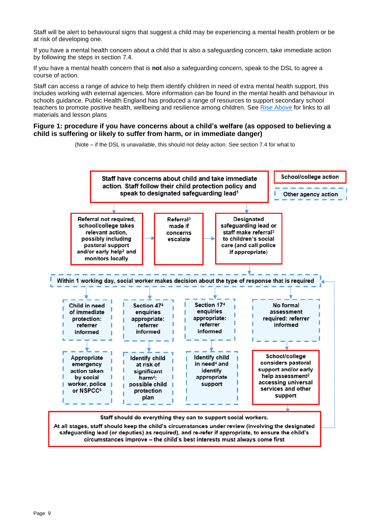Staff will be alert to behavioural signs that suggest a child may be experiencing a mental health problem or be at risk of developing one.

If you have a mental health concern about a child that is also a safeguarding concern, take immediate action by following the steps in section 7.4.

If you have a mental health concern that is **not** also a safeguarding concern, speak to the DSL to agree a course of action.

Staff can access a range of advice to help them identify children in need of extra mental health support, this includes working with external agencies. More information can be found in the mental health and behaviour in schools guidance. Public Health England has produced a range of resources to support secondary school teachers to promote positive health, wellbeing and resilience among children. See [Rise Above](https://campaignresources.phe.gov.uk/schools/topics/mental-wellbeing/overview) for links to all materials and lesson plans

### **Figure 1: procedure if you have concerns about a child's welfare (as opposed to believing a child is suffering or likely to suffer from harm, or in immediate danger)**

(Note – if the DSL is unavailable, this should not delay action. See section 7.4 for what to

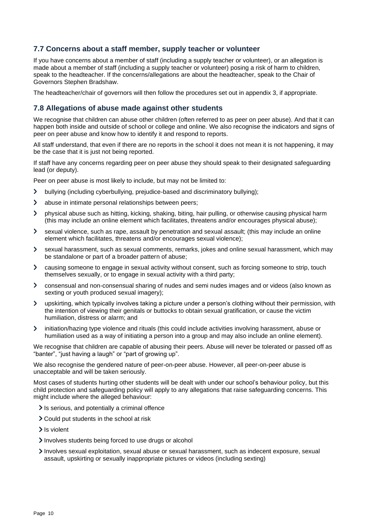# **7.7 Concerns about a staff member, supply teacher or volunteer**

If you have concerns about a member of staff (including a supply teacher or volunteer), or an allegation is made about a member of staff (including a supply teacher or volunteer) posing a risk of harm to children, speak to the headteacher. If the concerns/allegations are about the headteacher, speak to the Chair of Governors Stephen Bradshaw.

The headteacher/chair of governors will then follow the procedures set out in appendix 3, if appropriate.

### **7.8 Allegations of abuse made against other students**

We recognise that children can abuse other children (often referred to as peer on peer abuse). And that it can happen both inside and outside of school or college and online. We also recognise the indicators and signs of peer on peer abuse and know how to identify it and respond to reports.

All staff understand, that even if there are no reports in the school it does not mean it is not happening, it may be the case that it is just not being reported.

If staff have any concerns regarding peer on peer abuse they should speak to their designated safeguarding lead (or deputy).

Peer on peer abuse is most likely to include, but may not be limited to:

- $\mathbf{\Sigma}$ bullying (including cyberbullying, prejudice-based and discriminatory bullying);
- $\blacktriangleright$ abuse in intimate personal relationships between peers;
- $\mathbf{\mathcal{L}}$ physical abuse such as hitting, kicking, shaking, biting, hair pulling, or otherwise causing physical harm (this may include an online element which facilitates, threatens and/or encourages physical abuse);
- sexual violence, such as rape, assault by penetration and sexual assault; (this may include an online  $\blacktriangleright$ element which facilitates, threatens and/or encourages sexual violence);
- sexual harassment, such as sexual comments, remarks, jokes and online sexual harassment, which may  $\blacktriangleright$ be standalone or part of a broader pattern of abuse;
- $\blacktriangleright$ causing someone to engage in sexual activity without consent, such as forcing someone to strip, touch themselves sexually, or to engage in sexual activity with a third party;
- $\blacktriangleright$ consensual and non-consensual sharing of nudes and semi nudes images and or videos (also known as sexting or youth produced sexual imagery);
- $\blacktriangleright$ upskirting, which typically involves taking a picture under a person's clothing without their permission, with the intention of viewing their genitals or buttocks to obtain sexual gratification, or cause the victim humiliation, distress or alarm; and
- initiation/hazing type violence and rituals (this could include activities involving harassment, abuse or  $\blacktriangleright$ humiliation used as a way of initiating a person into a group and may also include an online element).

We recognise that children are capable of abusing their peers. Abuse will never be tolerated or passed off as "banter", "just having a laugh" or "part of growing up".

We also recognise the gendered nature of peer-on-peer abuse. However, all peer-on-peer abuse is unacceptable and will be taken seriously.

Most cases of students hurting other students will be dealt with under our school's behaviour policy, but this child protection and safeguarding policy will apply to any allegations that raise safeguarding concerns. This might include where the alleged behaviour:

- $\ge$  Is serious, and potentially a criminal offence
- Could put students in the school at risk
- > Is violent
- Involves students being forced to use drugs or alcohol
- Involves sexual exploitation, sexual abuse or sexual harassment, such as indecent exposure, sexual assault, upskirting or sexually inappropriate pictures or videos (including sexting)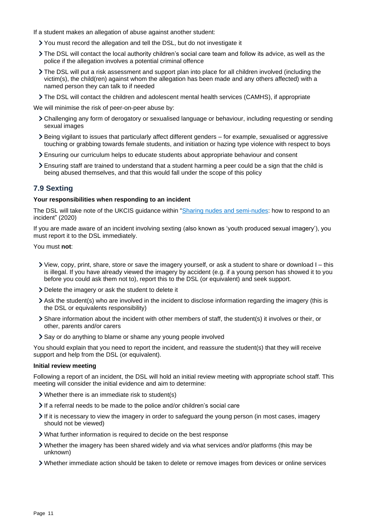- If a student makes an allegation of abuse against another student:
	- You must record the allegation and tell the DSL, but do not investigate it
	- The DSL will contact the local authority children's social care team and follow its advice, as well as the police if the allegation involves a potential criminal offence
	- The DSL will put a risk assessment and support plan into place for all children involved (including the victim(s), the child(ren) against whom the allegation has been made and any others affected) with a named person they can talk to if needed
	- The DSL will contact the children and adolescent mental health services (CAMHS), if appropriate

We will minimise the risk of peer-on-peer abuse by:

- Challenging any form of derogatory or sexualised language or behaviour, including requesting or sending sexual images
- Being vigilant to issues that particularly affect different genders for example, sexualised or aggressive touching or grabbing towards female students, and initiation or hazing type violence with respect to boys
- Ensuring our curriculum helps to educate students about appropriate behaviour and consent
- Ensuring staff are trained to understand that a student harming a peer could be a sign that the child is being abused themselves, and that this would fall under the scope of this policy

### **7.9 Sexting**

#### **Your responsibilities when responding to an incident**

The DSL will take note of the UKCIS guidance within ["Sharing nudes and semi-nudes:](https://www.gov.uk/government/groups/uk-council-for-child-internet-safety-ukccis) how to respond to an incident" (2020)

If you are made aware of an incident involving sexting (also known as 'youth produced sexual imagery'), you must report it to the DSL immediately.

You must **not**:

- View, copy, print, share, store or save the imagery yourself, or ask a student to share or download I this is illegal. If you have already viewed the imagery by accident (e.g. if a young person has showed it to you before you could ask them not to), report this to the DSL (or equivalent) and seek support.
- Delete the imagery or ask the student to delete it
- Ask the student(s) who are involved in the incident to disclose information regarding the imagery (this is the DSL or equivalents responsibility)
- Share information about the incident with other members of staff, the student(s) it involves or their, or other, parents and/or carers
- Say or do anything to blame or shame any young people involved

You should explain that you need to report the incident, and reassure the student(s) that they will receive support and help from the DSL (or equivalent).

#### **Initial review meeting**

Following a report of an incident, the DSL will hold an initial review meeting with appropriate school staff. This meeting will consider the initial evidence and aim to determine:

- Whether there is an immediate risk to student(s)
- If a referral needs to be made to the police and/or children's social care
- If it is necessary to view the imagery in order to safeguard the young person (in most cases, imagery should not be viewed)
- What further information is required to decide on the best response
- Whether the imagery has been shared widely and via what services and/or platforms (this may be unknown)
- Whether immediate action should be taken to delete or remove images from devices or online services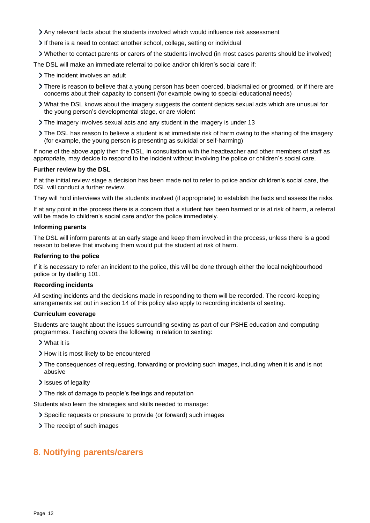- Any relevant facts about the students involved which would influence risk assessment
- If there is a need to contact another school, college, setting or individual
- Whether to contact parents or carers of the students involved (in most cases parents should be involved)

The DSL will make an immediate referral to police and/or children's social care if:

- > The incident involves an adult
- > There is reason to believe that a young person has been coerced, blackmailed or groomed, or if there are concerns about their capacity to consent (for example owing to special educational needs)
- What the DSL knows about the imagery suggests the content depicts sexual acts which are unusual for the young person's developmental stage, or are violent
- The imagery involves sexual acts and any student in the imagery is under 13
- The DSL has reason to believe a student is at immediate risk of harm owing to the sharing of the imagery (for example, the young person is presenting as suicidal or self-harming)

If none of the above apply then the DSL, in consultation with the headteacher and other members of staff as appropriate, may decide to respond to the incident without involving the police or children's social care.

#### **Further review by the DSL**

If at the initial review stage a decision has been made not to refer to police and/or children's social care, the DSL will conduct a further review.

They will hold interviews with the students involved (if appropriate) to establish the facts and assess the risks.

If at any point in the process there is a concern that a student has been harmed or is at risk of harm, a referral will be made to children's social care and/or the police immediately.

#### **Informing parents**

The DSL will inform parents at an early stage and keep them involved in the process, unless there is a good reason to believe that involving them would put the student at risk of harm.

#### **Referring to the police**

If it is necessary to refer an incident to the police, this will be done through either the local neighbourhood police or by dialling 101.

#### **Recording incidents**

All sexting incidents and the decisions made in responding to them will be recorded. The record-keeping arrangements set out in section 14 of this policy also apply to recording incidents of sexting.

### **Curriculum coverage**

Students are taught about the issues surrounding sexting as part of our PSHE education and computing programmes. Teaching covers the following in relation to sexting:

- What it is
- > How it is most likely to be encountered
- The consequences of requesting, forwarding or providing such images, including when it is and is not abusive
- Issues of legality
- The risk of damage to people's feelings and reputation

Students also learn the strategies and skills needed to manage:

- Specific requests or pressure to provide (or forward) such images
- <span id="page-11-0"></span>> The receipt of such images

# **8. Notifying parents/carers**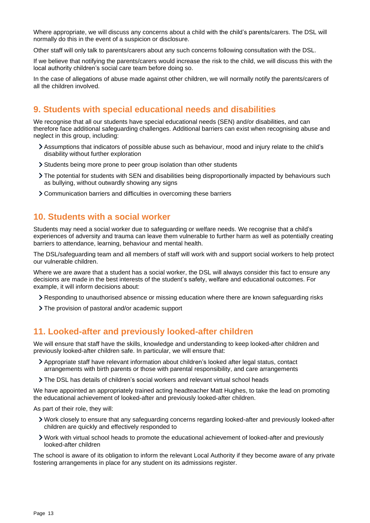Where appropriate, we will discuss any concerns about a child with the child's parents/carers. The DSL will normally do this in the event of a suspicion or disclosure.

Other staff will only talk to parents/carers about any such concerns following consultation with the DSL.

If we believe that notifying the parents/carers would increase the risk to the child, we will discuss this with the local authority children's social care team before doing so.

In the case of allegations of abuse made against other children, we will normally notify the parents/carers of all the children involved.

# <span id="page-12-0"></span>**9. Students with special educational needs and disabilities**

We recognise that all our students have special educational needs (SEN) and/or disabilities, and can therefore face additional safeguarding challenges. Additional barriers can exist when recognising abuse and neglect in this group, including:

- Assumptions that indicators of possible abuse such as behaviour, mood and injury relate to the child's disability without further exploration
- Students being more prone to peer group isolation than other students
- The potential for students with SEN and disabilities being disproportionally impacted by behaviours such as bullying, without outwardly showing any signs
- Communication barriers and difficulties in overcoming these barriers

# <span id="page-12-1"></span>**10. Students with a social worker**

Students may need a social worker due to safeguarding or welfare needs. We recognise that a child's experiences of adversity and trauma can leave them vulnerable to further harm as well as potentially creating barriers to attendance, learning, behaviour and mental health.

The DSL/safeguarding team and all members of staff will work with and support social workers to help protect our vulnerable children.

Where we are aware that a student has a social worker, the DSL will always consider this fact to ensure any decisions are made in the best interests of the student's safety, welfare and educational outcomes. For example, it will inform decisions about:

- Responding to unauthorised absence or missing education where there are known safeguarding risks
- The provision of pastoral and/or academic support

# <span id="page-12-2"></span>**11. Looked-after and previously looked-after children**

We will ensure that staff have the skills, knowledge and understanding to keep looked-after children and previously looked-after children safe. In particular, we will ensure that:

- Appropriate staff have relevant information about children's looked after legal status, contact arrangements with birth parents or those with parental responsibility, and care arrangements
- The DSL has details of children's social workers and relevant virtual school heads

We have appointed an appropriately trained acting headteacher Matt Hughes, to take the lead on promoting the educational achievement of looked-after and previously looked-after children.

As part of their role, they will:

- Work closely to ensure that any safeguarding concerns regarding looked-after and previously looked-after children are quickly and effectively responded to
- Work with virtual school heads to promote the educational achievement of looked-after and previously looked-after children

The school is aware of its obligation to inform the relevant Local Authority if they become aware of any private fostering arrangements in place for any student on its admissions register.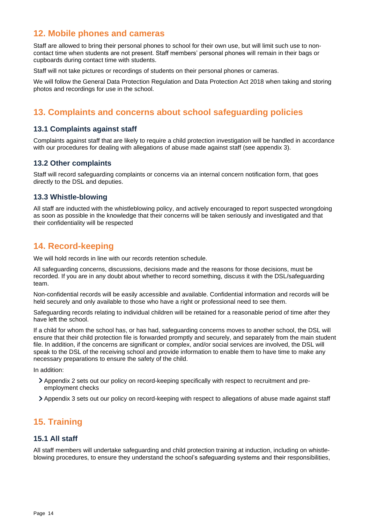# <span id="page-13-0"></span>**12. Mobile phones and cameras**

Staff are allowed to bring their personal phones to school for their own use, but will limit such use to noncontact time when students are not present. Staff members' personal phones will remain in their bags or cupboards during contact time with students.

Staff will not take pictures or recordings of students on their personal phones or cameras.

We will follow the General Data Protection Regulation and Data Protection Act 2018 when taking and storing photos and recordings for use in the school.

# <span id="page-13-1"></span>**13. Complaints and concerns about school safeguarding policies**

# **13.1 Complaints against staff**

Complaints against staff that are likely to require a child protection investigation will be handled in accordance with our procedures for dealing with allegations of abuse made against staff (see appendix 3).

### **13.2 Other complaints**

Staff will record safeguarding complaints or concerns via an internal concern notification form, that goes directly to the DSL and deputies.

### **13.3 Whistle-blowing**

All staff are inducted with the whistleblowing policy, and actively encouraged to report suspected wrongdoing as soon as possible in the knowledge that their concerns will be taken seriously and investigated and that their confidentiality will be respected

# <span id="page-13-2"></span>**14. Record-keeping**

We will hold records in line with our records retention schedule.

All safeguarding concerns, discussions, decisions made and the reasons for those decisions, must be recorded. If you are in any doubt about whether to record something, discuss it with the DSL/safeguarding team.

Non-confidential records will be easily accessible and available. Confidential information and records will be held securely and only available to those who have a right or professional need to see them.

Safeguarding records relating to individual children will be retained for a reasonable period of time after they have left the school.

If a child for whom the school has, or has had, safeguarding concerns moves to another school, the DSL will ensure that their child protection file is forwarded promptly and securely, and separately from the main student file. In addition, if the concerns are significant or complex, and/or social services are involved, the DSL will speak to the DSL of the receiving school and provide information to enable them to have time to make any necessary preparations to ensure the safety of the child.

In addition:

- Appendix 2 sets out our policy on record-keeping specifically with respect to recruitment and preemployment checks
- Appendix 3 sets out our policy on record-keeping with respect to allegations of abuse made against staff

# <span id="page-13-3"></span>**15. Training**

# **15.1 All staff**

All staff members will undertake safeguarding and child protection training at induction, including on whistleblowing procedures, to ensure they understand the school's safeguarding systems and their responsibilities,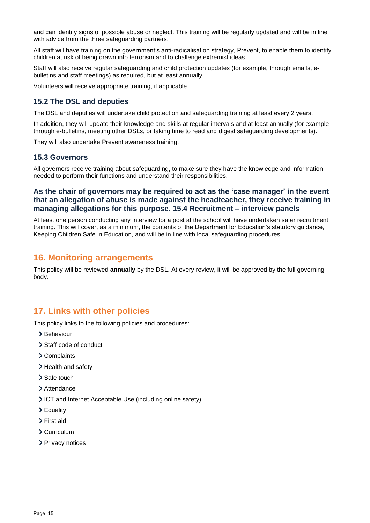and can identify signs of possible abuse or neglect. This training will be regularly updated and will be in line with advice from the three safeguarding partners.

All staff will have training on the government's anti-radicalisation strategy, Prevent, to enable them to identify children at risk of being drawn into terrorism and to challenge extremist ideas.

Staff will also receive regular safeguarding and child protection updates (for example, through emails, ebulletins and staff meetings) as required, but at least annually.

Volunteers will receive appropriate training, if applicable.

# **15.2 The DSL and deputies**

The DSL and deputies will undertake child protection and safeguarding training at least every 2 years.

In addition, they will update their knowledge and skills at regular intervals and at least annually (for example, through e-bulletins, meeting other DSLs, or taking time to read and digest safeguarding developments).

They will also undertake Prevent awareness training.

### **15.3 Governors**

All governors receive training about safeguarding, to make sure they have the knowledge and information needed to perform their functions and understand their responsibilities.

# **As the chair of governors may be required to act as the 'case manager' in the event that an allegation of abuse is made against the headteacher, they receive training in managing allegations for this purpose. 15.4 Recruitment – interview panels**

At least one person conducting any interview for a post at the school will have undertaken safer recruitment training. This will cover, as a minimum, the contents of the Department for Education's statutory guidance, Keeping Children Safe in Education, and will be in line with local safeguarding procedures.

# <span id="page-14-0"></span>**16. Monitoring arrangements**

This policy will be reviewed **annually** by the DSL. At every review, it will be approved by the full governing body.

# <span id="page-14-1"></span>**17. Links with other policies**

This policy links to the following policies and procedures:

- > Behaviour
- > Staff code of conduct
- Complaints
- > Health and safety
- > Safe touch
- > Attendance
- ICT and Internet Acceptable Use (including online safety)
- Equality
- > First aid
- Curriculum
- > Privacy notices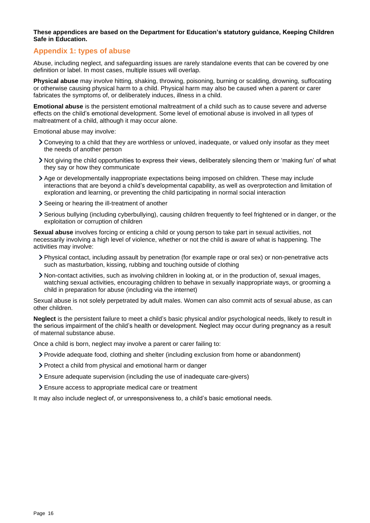#### **These appendices are based on the Department for Education's statutory guidance, Keeping Children Safe in Education.**

# <span id="page-15-0"></span>**Appendix 1: types of abuse**

Abuse, including neglect, and safeguarding issues are rarely standalone events that can be covered by one definition or label. In most cases, multiple issues will overlap.

**Physical abuse** may involve hitting, shaking, throwing, poisoning, burning or scalding, drowning, suffocating or otherwise causing physical harm to a child. Physical harm may also be caused when a parent or carer fabricates the symptoms of, or deliberately induces, illness in a child.

**Emotional abuse** is the persistent emotional maltreatment of a child such as to cause severe and adverse effects on the child's emotional development. Some level of emotional abuse is involved in all types of maltreatment of a child, although it may occur alone.

Emotional abuse may involve:

- Conveying to a child that they are worthless or unloved, inadequate, or valued only insofar as they meet the needs of another person
- Not giving the child opportunities to express their views, deliberately silencing them or 'making fun' of what they say or how they communicate
- Age or developmentally inappropriate expectations being imposed on children. These may include interactions that are beyond a child's developmental capability, as well as overprotection and limitation of exploration and learning, or preventing the child participating in normal social interaction
- Seeing or hearing the ill-treatment of another
- Serious bullying (including cyberbullying), causing children frequently to feel frightened or in danger, or the exploitation or corruption of children

**Sexual abuse** involves forcing or enticing a child or young person to take part in sexual activities, not necessarily involving a high level of violence, whether or not the child is aware of what is happening. The activities may involve:

- Physical contact, including assault by penetration (for example rape or oral sex) or non-penetrative acts such as masturbation, kissing, rubbing and touching outside of clothing
- Non-contact activities, such as involving children in looking at, or in the production of, sexual images, watching sexual activities, encouraging children to behave in sexually inappropriate ways, or grooming a child in preparation for abuse (including via the internet)

Sexual abuse is not solely perpetrated by adult males. Women can also commit acts of sexual abuse, as can other children.

**Neglect** is the persistent failure to meet a child's basic physical and/or psychological needs, likely to result in the serious impairment of the child's health or development. Neglect may occur during pregnancy as a result of maternal substance abuse.

Once a child is born, neglect may involve a parent or carer failing to:

- Provide adequate food, clothing and shelter (including exclusion from home or abandonment)
- Protect a child from physical and emotional harm or danger
- Ensure adequate supervision (including the use of inadequate care-givers)
- Ensure access to appropriate medical care or treatment

It may also include neglect of, or unresponsiveness to, a child's basic emotional needs.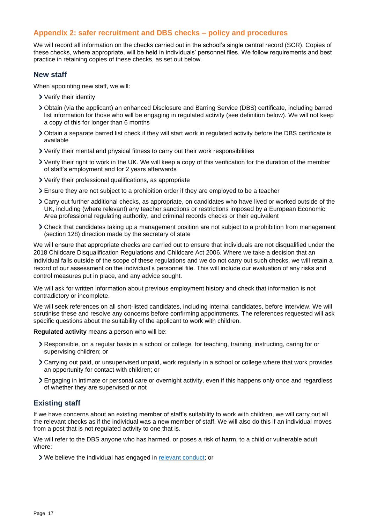# <span id="page-16-0"></span>**Appendix 2: safer recruitment and DBS checks – policy and procedures**

We will record all information on the checks carried out in the school's single central record (SCR). Copies of these checks, where appropriate, will be held in individuals' personnel files. We follow requirements and best practice in retaining copies of these checks, as set out below.

### **New staff**

When appointing new staff, we will:

- Verify their identity
- Obtain (via the applicant) an enhanced Disclosure and Barring Service (DBS) certificate, including barred list information for those who will be engaging in regulated activity (see definition below). We will not keep a copy of this for longer than 6 months
- Obtain a separate barred list check if they will start work in regulated activity before the DBS certificate is available
- Verify their mental and physical fitness to carry out their work responsibilities
- Verify their right to work in the UK. We will keep a copy of this verification for the duration of the member of staff's employment and for 2 years afterwards
- Verify their professional qualifications, as appropriate
- Ensure they are not subject to a prohibition order if they are employed to be a teacher
- Carry out further additional checks, as appropriate, on candidates who have lived or worked outside of the UK, including (where relevant) any teacher sanctions or restrictions imposed by a European Economic Area professional regulating authority, and criminal records checks or their equivalent
- Check that candidates taking up a management position are not subject to a prohibition from management (section 128) direction made by the secretary of state

We will ensure that appropriate checks are carried out to ensure that individuals are not disqualified under the 2018 Childcare Disqualification Regulations and Childcare Act 2006. Where we take a decision that an individual falls outside of the scope of these regulations and we do not carry out such checks, we will retain a record of our assessment on the individual's personnel file. This will include our evaluation of any risks and control measures put in place, and any advice sought.

We will ask for written information about previous employment history and check that information is not contradictory or incomplete.

We will seek references on all short-listed candidates, including internal candidates, before interview. We will scrutinise these and resolve any concerns before confirming appointments. The references requested will ask specific questions about the suitability of the applicant to work with children.

**Regulated activity** means a person who will be:

- Responsible, on a regular basis in a school or college, for teaching, training, instructing, caring for or supervising children; or
- Carrying out paid, or unsupervised unpaid, work regularly in a school or college where that work provides an opportunity for contact with children; or
- Engaging in intimate or personal care or overnight activity, even if this happens only once and regardless of whether they are supervised or not

# **Existing staff**

If we have concerns about an existing member of staff's suitability to work with children, we will carry out all the relevant checks as if the individual was a new member of staff. We will also do this if an individual moves from a post that is not regulated activity to one that is.

We will refer to the DBS anyone who has harmed, or poses a risk of harm, to a child or vulnerable adult where:

We believe the individual has engaged in [relevant conduct;](https://www.gov.uk/guidance/making-barring-referrals-to-the-dbs#relevant-conduct-in-relation-to-children) or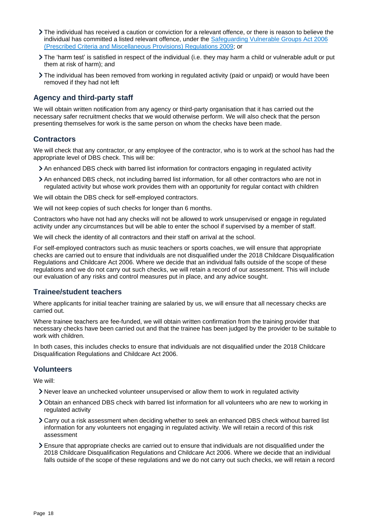- The individual has received a caution or conviction for a relevant offence, or there is reason to believe the individual has committed a listed relevant offence, under the Safeguarding [Vulnerable Groups Act 2006](http://www.legislation.gov.uk/uksi/2009/37/contents/made) (Prescribed Criteria and [Miscellaneous Provisions\) Regulations 2009;](http://www.legislation.gov.uk/uksi/2009/37/contents/made) or
- The 'harm test' is satisfied in respect of the individual (i.e. they may harm a child or vulnerable adult or put them at risk of harm); and
- The individual has been removed from working in regulated activity (paid or unpaid) or would have been removed if they had not left

# **Agency and third-party staff**

We will obtain written notification from any agency or third-party organisation that it has carried out the necessary safer recruitment checks that we would otherwise perform. We will also check that the person presenting themselves for work is the same person on whom the checks have been made.

# **Contractors**

We will check that any contractor, or any employee of the contractor, who is to work at the school has had the appropriate level of DBS check. This will be:

- An enhanced DBS check with barred list information for contractors engaging in regulated activity
- An enhanced DBS check, not including barred list information, for all other contractors who are not in regulated activity but whose work provides them with an opportunity for regular contact with children

We will obtain the DBS check for self-employed contractors.

We will not keep copies of such checks for longer than 6 months.

Contractors who have not had any checks will not be allowed to work unsupervised or engage in regulated activity under any circumstances but will be able to enter the school if supervised by a member of staff.

We will check the identity of all contractors and their staff on arrival at the school.

For self-employed contractors such as music teachers or sports coaches, we will ensure that appropriate checks are carried out to ensure that individuals are not disqualified under the 2018 Childcare Disqualification Regulations and Childcare Act 2006. Where we decide that an individual falls outside of the scope of these regulations and we do not carry out such checks, we will retain a record of our assessment. This will include our evaluation of any risks and control measures put in place, and any advice sought.

### **Trainee/student teachers**

Where applicants for initial teacher training are salaried by us, we will ensure that all necessary checks are carried out.

Where trainee teachers are fee-funded, we will obtain written confirmation from the training provider that necessary checks have been carried out and that the trainee has been judged by the provider to be suitable to work with children.

In both cases, this includes checks to ensure that individuals are not disqualified under the 2018 Childcare Disqualification Regulations and Childcare Act 2006.

# **Volunteers**

We will:

- Never leave an unchecked volunteer unsupervised or allow them to work in regulated activity
- Obtain an enhanced DBS check with barred list information for all volunteers who are new to working in regulated activity
- Carry out a risk assessment when deciding whether to seek an enhanced DBS check without barred list information for any volunteers not engaging in regulated activity. We will retain a record of this risk assessment
- Ensure that appropriate checks are carried out to ensure that individuals are not disqualified under the 2018 Childcare Disqualification Regulations and Childcare Act 2006. Where we decide that an individual falls outside of the scope of these regulations and we do not carry out such checks, we will retain a record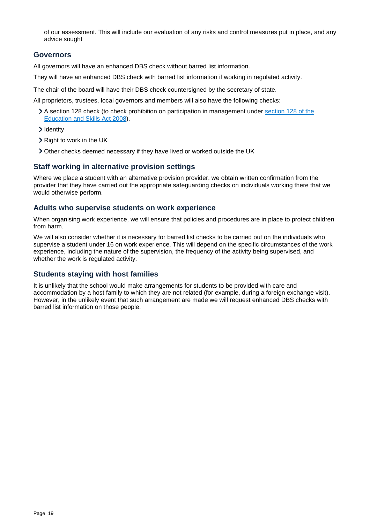of our assessment. This will include our evaluation of any risks and control measures put in place, and any advice sought

### **Governors**

All governors will have an enhanced DBS check without barred list information.

They will have an enhanced DBS check with barred list information if working in regulated activity.

The chair of the board will have their DBS check countersigned by the secretary of state.

All proprietors, trustees, local governors and members will also have the following checks:

- A section 128 check (to check prohibition on participation in management under [section 128 of the](https://www.legislation.gov.uk/ukpga/2008/25/section/128)  [Education and Skills Act 2008\)](https://www.legislation.gov.uk/ukpga/2008/25/section/128).
- > Identity
- > Right to work in the UK
- Other checks deemed necessary if they have lived or worked outside the UK

### **Staff working in alternative provision settings**

Where we place a student with an alternative provision provider, we obtain written confirmation from the provider that they have carried out the appropriate safeguarding checks on individuals working there that we would otherwise perform.

### **Adults who supervise students on work experience**

When organising work experience, we will ensure that policies and procedures are in place to protect children from harm.

We will also consider whether it is necessary for barred list checks to be carried out on the individuals who supervise a student under 16 on work experience. This will depend on the specific circumstances of the work experience, including the nature of the supervision, the frequency of the activity being supervised, and whether the work is regulated activity.

### **Students staying with host families**

It is unlikely that the school would make arrangements for students to be provided with care and accommodation by a host family to which they are not related (for example, during a foreign exchange visit). However, in the unlikely event that such arrangement are made we will request enhanced DBS checks with barred list information on those people.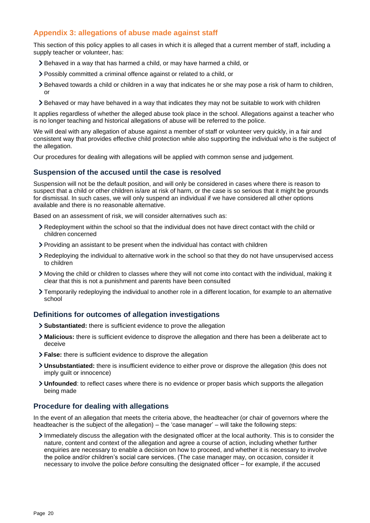# <span id="page-19-0"></span>**Appendix 3: allegations of abuse made against staff**

This section of this policy applies to all cases in which it is alleged that a current member of staff, including a supply teacher or volunteer, has:

- Behaved in a way that has harmed a child, or may have harmed a child, or
- Possibly committed a criminal offence against or related to a child, or
- Behaved towards a child or children in a way that indicates he or she may pose a risk of harm to children, or
- Behaved or may have behaved in a way that indicates they may not be suitable to work with children

It applies regardless of whether the alleged abuse took place in the school. Allegations against a teacher who is no longer teaching and historical allegations of abuse will be referred to the police.

We will deal with any allegation of abuse against a member of staff or volunteer very quickly, in a fair and consistent way that provides effective child protection while also supporting the individual who is the subject of the allegation.

Our procedures for dealing with allegations will be applied with common sense and judgement.

### **Suspension of the accused until the case is resolved**

Suspension will not be the default position, and will only be considered in cases where there is reason to suspect that a child or other children is/are at risk of harm, or the case is so serious that it might be grounds for dismissal. In such cases, we will only suspend an individual if we have considered all other options available and there is no reasonable alternative.

Based on an assessment of risk, we will consider alternatives such as:

- Redeployment within the school so that the individual does not have direct contact with the child or children concerned
- Providing an assistant to be present when the individual has contact with children
- Redeploying the individual to alternative work in the school so that they do not have unsupervised access to children
- Moving the child or children to classes where they will not come into contact with the individual, making it clear that this is not a punishment and parents have been consulted
- Temporarily redeploying the individual to another role in a different location, for example to an alternative school

### **Definitions for outcomes of allegation investigations**

- **Substantiated:** there is sufficient evidence to prove the allegation
- **Malicious:** there is sufficient evidence to disprove the allegation and there has been a deliberate act to deceive
- **False:** there is sufficient evidence to disprove the allegation
- **Unsubstantiated:** there is insufficient evidence to either prove or disprove the allegation (this does not imply guilt or innocence)
- **Unfounded**: to reflect cases where there is no evidence or proper basis which supports the allegation being made

### **Procedure for dealing with allegations**

In the event of an allegation that meets the criteria above, the headteacher (or chair of governors where the headteacher is the subject of the allegation) – the 'case manager' – will take the following steps:

Immediately discuss the allegation with the designated officer at the local authority. This is to consider the nature, content and context of the allegation and agree a course of action, including whether further enquiries are necessary to enable a decision on how to proceed, and whether it is necessary to involve the police and/or children's social care services. (The case manager may, on occasion, consider it necessary to involve the police *before* consulting the designated officer – for example, if the accused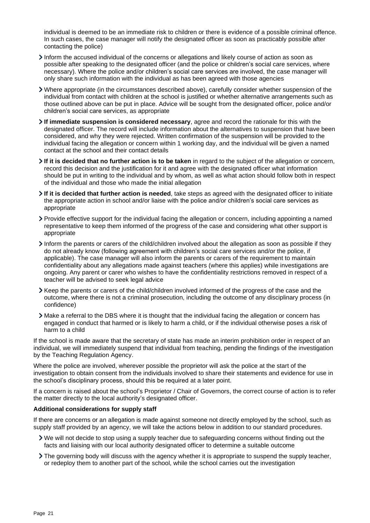individual is deemed to be an immediate risk to children or there is evidence of a possible criminal offence. In such cases, the case manager will notify the designated officer as soon as practicably possible after contacting the police)

- Inform the accused individual of the concerns or allegations and likely course of action as soon as possible after speaking to the designated officer (and the police or children's social care services, where necessary). Where the police and/or children's social care services are involved, the case manager will only share such information with the individual as has been agreed with those agencies
- Where appropriate (in the circumstances described above), carefully consider whether suspension of the individual from contact with children at the school is justified or whether alternative arrangements such as those outlined above can be put in place. Advice will be sought from the designated officer, police and/or children's social care services, as appropriate
- **If immediate suspension is considered necessary**, agree and record the rationale for this with the designated officer. The record will include information about the alternatives to suspension that have been considered, and why they were rejected. Written confirmation of the suspension will be provided to the individual facing the allegation or concern within 1 working day, and the individual will be given a named contact at the school and their contact details
- **If it is decided that no further action is to be taken** in regard to the subject of the allegation or concern, record this decision and the justification for it and agree with the designated officer what information should be put in writing to the individual and by whom, as well as what action should follow both in respect of the individual and those who made the initial allegation
- **If it is decided that further action is needed**, take steps as agreed with the designated officer to initiate the appropriate action in school and/or liaise with the police and/or children's social care services as appropriate
- Provide effective support for the individual facing the allegation or concern, including appointing a named representative to keep them informed of the progress of the case and considering what other support is appropriate
- Inform the parents or carers of the child/children involved about the allegation as soon as possible if they do not already know (following agreement with children's social care services and/or the police, if applicable). The case manager will also inform the parents or carers of the requirement to maintain confidentiality about any allegations made against teachers (where this applies) while investigations are ongoing. Any parent or carer who wishes to have the confidentiality restrictions removed in respect of a teacher will be advised to seek legal advice
- Keep the parents or carers of the child/children involved informed of the progress of the case and the outcome, where there is not a criminal prosecution, including the outcome of any disciplinary process (in confidence)
- Make a referral to the DBS where it is thought that the individual facing the allegation or concern has engaged in conduct that harmed or is likely to harm a child, or if the individual otherwise poses a risk of harm to a child

If the school is made aware that the secretary of state has made an interim prohibition order in respect of an individual, we will immediately suspend that individual from teaching, pending the findings of the investigation by the Teaching Regulation Agency.

Where the police are involved, wherever possible the proprietor will ask the police at the start of the investigation to obtain consent from the individuals involved to share their statements and evidence for use in the school's disciplinary process, should this be required at a later point.

If a concern is raised about the school's Proprietor / Chair of Governors, the correct course of action is to refer the matter directly to the local authority's designated officer.

### **Additional considerations for supply staff**

If there are concerns or an allegation is made against someone not directly employed by the school, such as supply staff provided by an agency, we will take the actions below in addition to our standard procedures.

- We will not decide to stop using a supply teacher due to safeguarding concerns without finding out the facts and liaising with our local authority designated officer to determine a suitable outcome
- If the governing body will discuss with the agency whether it is appropriate to suspend the supply teacher, or redeploy them to another part of the school, while the school carries out the investigation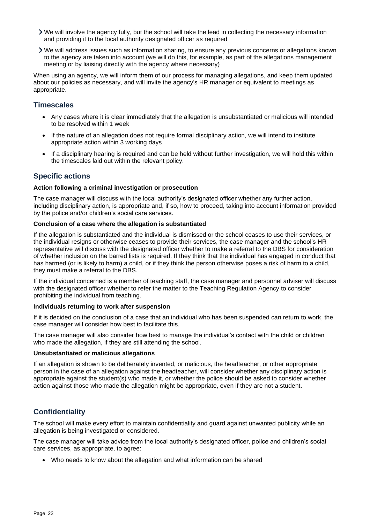- We will involve the agency fully, but the school will take the lead in collecting the necessary information and providing it to the local authority designated officer as required
- We will address issues such as information sharing, to ensure any previous concerns or allegations known to the agency are taken into account (we will do this, for example, as part of the allegations management meeting or by liaising directly with the agency where necessary)

When using an agency, we will inform them of our process for managing allegations, and keep them updated about our policies as necessary, and will invite the agency's HR manager or equivalent to meetings as appropriate.

# **Timescales**

- Any cases where it is clear immediately that the allegation is unsubstantiated or malicious will intended to be resolved within 1 week
- If the nature of an allegation does not require formal disciplinary action, we will intend to institute appropriate action within 3 working days
- If a disciplinary hearing is required and can be held without further investigation, we will hold this within the timescales laid out within the relevant policy.

# **Specific actions**

#### **Action following a criminal investigation or prosecution**

The case manager will discuss with the local authority's designated officer whether any further action, including disciplinary action, is appropriate and, if so, how to proceed, taking into account information provided by the police and/or children's social care services.

#### **Conclusion of a case where the allegation is substantiated**

If the allegation is substantiated and the individual is dismissed or the school ceases to use their services, or the individual resigns or otherwise ceases to provide their services, the case manager and the school's HR representative will discuss with the designated officer whether to make a referral to the DBS for consideration of whether inclusion on the barred lists is required. If they think that the individual has engaged in conduct that has harmed (or is likely to harm) a child, or if they think the person otherwise poses a risk of harm to a child, they must make a referral to the DBS.

If the individual concerned is a member of teaching staff, the case manager and personnel adviser will discuss with the designated officer whether to refer the matter to the Teaching Regulation Agency to consider prohibiting the individual from teaching.

#### **Individuals returning to work after suspension**

If it is decided on the conclusion of a case that an individual who has been suspended can return to work, the case manager will consider how best to facilitate this.

The case manager will also consider how best to manage the individual's contact with the child or children who made the allegation, if they are still attending the school.

#### **Unsubstantiated or malicious allegations**

If an allegation is shown to be deliberately invented, or malicious, the headteacher, or other appropriate person in the case of an allegation against the headteacher, will consider whether any disciplinary action is appropriate against the student(s) who made it, or whether the police should be asked to consider whether action against those who made the allegation might be appropriate, even if they are not a student.

# **Confidentiality**

The school will make every effort to maintain confidentiality and guard against unwanted publicity while an allegation is being investigated or considered.

The case manager will take advice from the local authority's designated officer, police and children's social care services, as appropriate, to agree:

• Who needs to know about the allegation and what information can be shared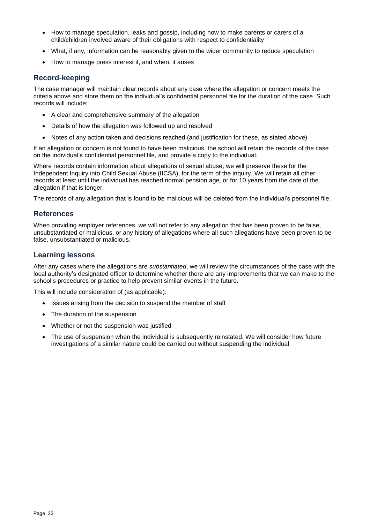- How to manage speculation, leaks and gossip, including how to make parents or carers of a child/children involved aware of their obligations with respect to confidentiality
- What, if any, information can be reasonably given to the wider community to reduce speculation
- How to manage press interest if, and when, it arises

### **Record-keeping**

The case manager will maintain clear records about any case where the allegation or concern meets the criteria above and store them on the individual's confidential personnel file for the duration of the case. Such records will include:

- A clear and comprehensive summary of the allegation
- Details of how the allegation was followed up and resolved
- Notes of any action taken and decisions reached (and justification for these, as stated above)

If an allegation or concern is not found to have been malicious, the school will retain the records of the case on the individual's confidential personnel file, and provide a copy to the individual.

Where records contain information about allegations of sexual abuse, we will preserve these for the Independent Inquiry into Child Sexual Abuse (IICSA), for the term of the inquiry. We will retain all other records at least until the individual has reached normal pension age, or for 10 years from the date of the allegation if that is longer.

The records of any allegation that is found to be malicious will be deleted from the individual's personnel file.

# **References**

When providing employer references, we will not refer to any allegation that has been proven to be false, unsubstantiated or malicious, or any history of allegations where all such allegations have been proven to be false, unsubstantiated or malicious.

### **Learning lessons**

After any cases where the allegations are *substantiated*, we will review the circumstances of the case with the local authority's designated officer to determine whether there are any improvements that we can make to the school's procedures or practice to help prevent similar events in the future.

This will include consideration of (as applicable):

- Issues arising from the decision to suspend the member of staff
- The duration of the suspension
- Whether or not the suspension was justified
- The use of suspension when the individual is subsequently reinstated. We will consider how future investigations of a similar nature could be carried out without suspending the individual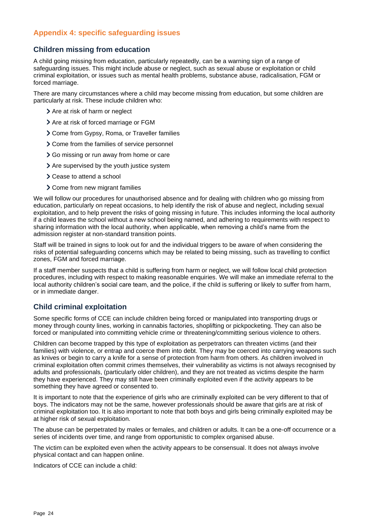# <span id="page-23-0"></span>**Appendix 4: specific safeguarding issues**

# **Children missing from education**

A child going missing from education, particularly repeatedly, can be a warning sign of a range of safeguarding issues. This might include abuse or neglect, such as sexual abuse or exploitation or child criminal exploitation, or issues such as mental health problems, substance abuse, radicalisation, FGM or forced marriage.

There are many circumstances where a child may become missing from education, but some children are particularly at risk. These include children who:

- > Are at risk of harm or neglect
- > Are at risk of forced marriage or FGM
- Come from Gypsy, Roma, or Traveller families
- Come from the families of service personnel
- Go missing or run away from home or care
- Are supervised by the youth justice system
- > Cease to attend a school
- Come from new migrant families

We will follow our procedures for unauthorised absence and for dealing with children who go missing from education, particularly on repeat occasions, to help identify the risk of abuse and neglect, including sexual exploitation, and to help prevent the risks of going missing in future. This includes informing the local authority if a child leaves the school without a new school being named, and adhering to requirements with respect to sharing information with the local authority, when applicable, when removing a child's name from the admission register at non-standard transition points.

Staff will be trained in signs to look out for and the individual triggers to be aware of when considering the risks of potential safeguarding concerns which may be related to being missing, such as travelling to conflict zones, FGM and forced marriage.

If a staff member suspects that a child is suffering from harm or neglect, we will follow local child protection procedures, including with respect to making reasonable enquiries. We will make an immediate referral to the local authority children's social care team, and the police, if the child is suffering or likely to suffer from harm, or in immediate danger.

# **Child criminal exploitation**

Some specific forms of CCE can include children being forced or manipulated into transporting drugs or money through county lines, working in cannabis factories, shoplifting or pickpocketing. They can also be forced or manipulated into committing vehicle crime or threatening/committing serious violence to others.

Children can become trapped by this type of exploitation as perpetrators can threaten victims (and their families) with violence, or entrap and coerce them into debt. They may be coerced into carrying weapons such as knives or begin to carry a knife for a sense of protection from harm from others. As children involved in criminal exploitation often commit crimes themselves, their vulnerability as victims is not always recognised by adults and professionals, (particularly older children), and they are not treated as victims despite the harm they have experienced. They may still have been criminally exploited even if the activity appears to be something they have agreed or consented to.

It is important to note that the experience of girls who are criminally exploited can be very different to that of boys. The indicators may not be the same, however professionals should be aware that girls are at risk of criminal exploitation too. It is also important to note that both boys and girls being criminally exploited may be at higher risk of sexual exploitation.

The abuse can be perpetrated by males or females, and children or adults. It can be a one-off occurrence or a series of incidents over time, and range from opportunistic to complex organised abuse.

The victim can be exploited even when the activity appears to be consensual. It does not always involve physical contact and can happen online.

Indicators of CCE can include a child: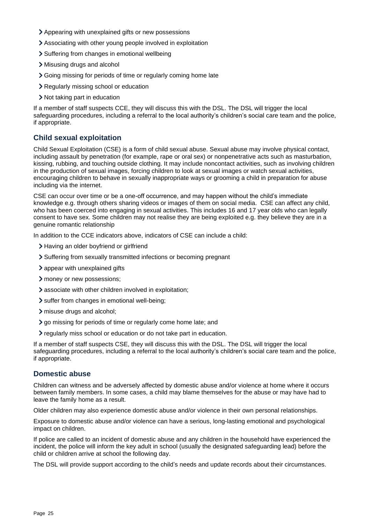- Appearing with unexplained gifts or new possessions
- Associating with other young people involved in exploitation
- > Suffering from changes in emotional wellbeing
- Misusing drugs and alcohol
- Going missing for periods of time or regularly coming home late
- Regularly missing school or education
- $\sum$  Not taking part in education

If a member of staff suspects CCE, they will discuss this with the DSL. The DSL will trigger the local safeguarding procedures, including a referral to the local authority's children's social care team and the police, if appropriate.

# **Child sexual exploitation**

Child Sexual Exploitation (CSE) is a form of child sexual abuse. Sexual abuse may involve physical contact, including assault by penetration (for example, rape or oral sex) or nonpenetrative acts such as masturbation, kissing, rubbing, and touching outside clothing. It may include noncontact activities, such as involving children in the production of sexual images, forcing children to look at sexual images or watch sexual activities, encouraging children to behave in sexually inappropriate ways or grooming a child in preparation for abuse including via the internet.

CSE can occur over time or be a one-off occurrence, and may happen without the child's immediate knowledge e.g. through others sharing videos or images of them on social media. CSE can affect any child, who has been coerced into engaging in sexual activities. This includes 16 and 17 year olds who can legally consent to have sex. Some children may not realise they are being exploited e.g. they believe they are in a genuine romantic relationship

In addition to the CCE indicators above, indicators of CSE can include a child:

- > Having an older boyfriend or girlfriend
- > Suffering from sexually transmitted infections or becoming pregnant
- > appear with unexplained gifts
- money or new possessions;
- associate with other children involved in exploitation;
- suffer from changes in emotional well-being;
- misuse drugs and alcohol;
- > go missing for periods of time or regularly come home late; and
- If regularly miss school or education or do not take part in education.

If a member of staff suspects CSE, they will discuss this with the DSL. The DSL will trigger the local safeguarding procedures, including a referral to the local authority's children's social care team and the police, if appropriate.

### **Domestic abuse**

Children can witness and be adversely affected by domestic abuse and/or violence at home where it occurs between family members. In some cases, a child may blame themselves for the abuse or may have had to leave the family home as a result.

Older children may also experience domestic abuse and/or violence in their own personal relationships.

Exposure to domestic abuse and/or violence can have a serious, long-lasting emotional and psychological impact on children.

If police are called to an incident of domestic abuse and any children in the household have experienced the incident, the police will inform the key adult in school (usually the designated safeguarding lead) before the child or children arrive at school the following day.

The DSL will provide support according to the child's needs and update records about their circumstances.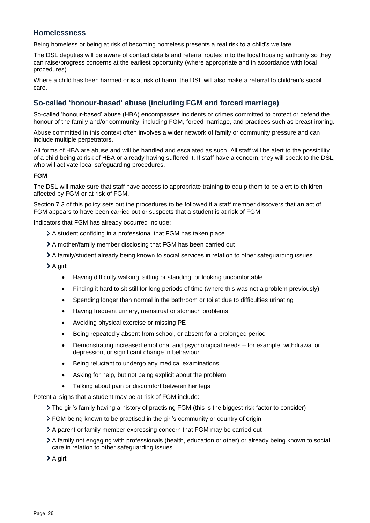# **Homelessness**

Being homeless or being at risk of becoming homeless presents a real risk to a child's welfare.

The DSL deputies will be aware of contact details and referral routes in to the local housing authority so they can raise/progress concerns at the earliest opportunity (where appropriate and in accordance with local procedures).

Where a child has been harmed or is at risk of harm, the DSL will also make a referral to children's social care.

# **So-called 'honour-based' abuse (including FGM and forced marriage)**

So-called 'honour-based' abuse (HBA) encompasses incidents or crimes committed to protect or defend the honour of the family and/or community, including FGM, forced marriage, and practices such as breast ironing.

Abuse committed in this context often involves a wider network of family or community pressure and can include multiple perpetrators.

All forms of HBA are abuse and will be handled and escalated as such. All staff will be alert to the possibility of a child being at risk of HBA or already having suffered it. If staff have a concern, they will speak to the DSL, who will activate local safeguarding procedures.

#### **FGM**

The DSL will make sure that staff have access to appropriate training to equip them to be alert to children affected by FGM or at risk of FGM.

Section 7.3 of this policy sets out the procedures to be followed if a staff member discovers that an act of FGM appears to have been carried out or suspects that a student is at risk of FGM.

Indicators that FGM has already occurred include:

- A student confiding in a professional that FGM has taken place
- A mother/family member disclosing that FGM has been carried out
- A family/student already being known to social services in relation to other safeguarding issues

> A girl:

- Having difficulty walking, sitting or standing, or looking uncomfortable
- Finding it hard to sit still for long periods of time (where this was not a problem previously)
- Spending longer than normal in the bathroom or toilet due to difficulties urinating
- Having frequent urinary, menstrual or stomach problems
- Avoiding physical exercise or missing PE
- Being repeatedly absent from school, or absent for a prolonged period
- Demonstrating increased emotional and psychological needs for example, withdrawal or depression, or significant change in behaviour
- Being reluctant to undergo any medical examinations
- Asking for help, but not being explicit about the problem
- Talking about pain or discomfort between her legs

Potential signs that a student may be at risk of FGM include:

The girl's family having a history of practising FGM (this is the biggest risk factor to consider)

- FGM being known to be practised in the girl's community or country of origin
- A parent or family member expressing concern that FGM may be carried out
- A family not engaging with professionals (health, education or other) or already being known to social care in relation to other safeguarding issues

A girl: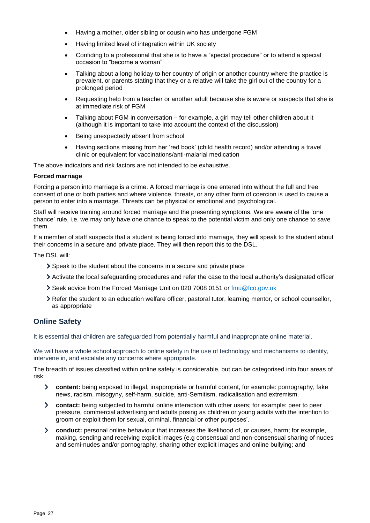- Having a mother, older sibling or cousin who has undergone FGM
- Having limited level of integration within UK society
- Confiding to a professional that she is to have a "special procedure" or to attend a special occasion to "become a woman"
- Talking about a long holiday to her country of origin or another country where the practice is prevalent, or parents stating that they or a relative will take the girl out of the country for a prolonged period
- Requesting help from a teacher or another adult because she is aware or suspects that she is at immediate risk of FGM
- Talking about FGM in conversation for example, a girl may tell other children about it (although it is important to take into account the context of the discussion)
- Being unexpectedly absent from school
- Having sections missing from her 'red book' (child health record) and/or attending a travel clinic or equivalent for vaccinations/anti-malarial medication

The above indicators and risk factors are not intended to be exhaustive.

#### **Forced marriage**

Forcing a person into marriage is a crime. A forced marriage is one entered into without the full and free consent of one or both parties and where violence, threats, or any other form of coercion is used to cause a person to enter into a marriage. Threats can be physical or emotional and psychological.

Staff will receive training around forced marriage and the presenting symptoms. We are aware of the 'one chance' rule, i.e. we may only have one chance to speak to the potential victim and only one chance to save them.

If a member of staff suspects that a student is being forced into marriage, they will speak to the student about their concerns in a secure and private place. They will then report this to the DSL.

The DSL will:

- Speak to the student about the concerns in a secure and private place
- Activate the local safeguarding procedures and refer the case to the local authority's designated officer
- Seek advice from the Forced Marriage Unit on 020 7008 0151 or  $\frac{fmu@fco.gov.uk}{fmu@fco.gov.uk}$
- Refer the student to an education welfare officer, pastoral tutor, learning mentor, or school counsellor, as appropriate

### **Online Safety**

It is essential that children are safeguarded from potentially harmful and inappropriate online material.

We will have a whole school approach to online safety in the use of technology and mechanisms to identify, intervene in, and escalate any concerns where appropriate.

The breadth of issues classified within online safety is considerable, but can be categorised into four areas of risk:

- **content:** being exposed to illegal, inappropriate or harmful content, for example: pornography, fake news, racism, misogyny, self-harm, suicide, anti-Semitism, radicalisation and extremism.
- **contact:** being subjected to harmful online interaction with other users; for example: peer to peer pressure, commercial advertising and adults posing as children or young adults with the intention to groom or exploit them for sexual, criminal, financial or other purposes'.
- $\sum$ **conduct:** personal online behaviour that increases the likelihood of, or causes, harm; for example, making, sending and receiving explicit images (e.g consensual and non-consensual sharing of nudes and semi-nudes and/or pornography, sharing other explicit images and online bullying; and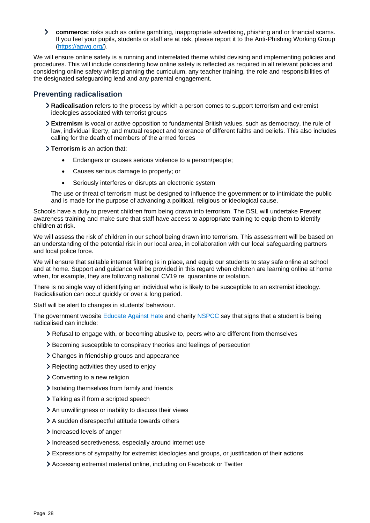$\overline{\phantom{0}}$ **commerce:** risks such as online gambling, inappropriate advertising, phishing and or financial scams. If you feel your pupils, students or staff are at risk, please report it to the Anti-Phishing Working Group [\(https://apwg.org/\)](https://apwg.org/).

We will ensure online safety is a running and interrelated theme whilst devising and implementing policies and procedures. This will include considering how online safety is reflected as required in all relevant policies and considering online safety whilst planning the curriculum, any teacher training, the role and responsibilities of the designated safeguarding lead and any parental engagement.

# **Preventing radicalisation**

- **Radicalisation** refers to the process by which a person comes to support terrorism and extremist ideologies associated with terrorist groups
- **Extremism** is vocal or active opposition to fundamental British values, such as democracy, the rule of law, individual liberty, and mutual respect and tolerance of different faiths and beliefs. This also includes calling for the death of members of the armed forces
- **Terrorism** is an action that:
	- Endangers or causes serious violence to a person/people;
	- Causes serious damage to property; or
	- Seriously interferes or disrupts an electronic system

The use or threat of terrorism must be designed to influence the government or to intimidate the public and is made for the purpose of advancing a political, religious or ideological cause.

Schools have a duty to prevent children from being drawn into terrorism. The DSL will undertake Prevent awareness training and make sure that staff have access to appropriate training to equip them to identify children at risk.

We will assess the risk of children in our school being drawn into terrorism. This assessment will be based on an understanding of the potential risk in our local area, in collaboration with our local safeguarding partners and local police force.

We will ensure that suitable internet filtering is in place, and equip our students to stay safe online at school and at home. Support and guidance will be provided in this regard when children are learning online at home when, for example, they are following national CV19 re. quarantine or isolation.

There is no single way of identifying an individual who is likely to be susceptible to an extremist ideology. Radicalisation can occur quickly or over a long period.

Staff will be alert to changes in students' behaviour.

The government website [Educate Against](http://educateagainsthate.com/parents/what-are-the-warning-signs/) Hate and charity [NSPCC](https://www.nspcc.org.uk/what-you-can-do/report-abuse/dedicated-helplines/protecting-children-from-radicalisation/) say that signs that a student is being radicalised can include:

- Refusal to engage with, or becoming abusive to, peers who are different from themselves
- Becoming susceptible to conspiracy theories and feelings of persecution
- Changes in friendship groups and appearance
- Rejecting activities they used to enjoy
- Converting to a new religion
- Isolating themselves from family and friends
- > Talking as if from a scripted speech
- An unwillingness or inability to discuss their views
- A sudden disrespectful attitude towards others
- Increased levels of anger
- Increased secretiveness, especially around internet use
- Expressions of sympathy for extremist ideologies and groups, or justification of their actions
- Accessing extremist material online, including on Facebook or Twitter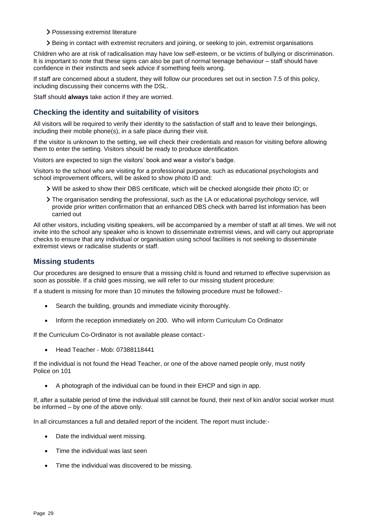- > Possessing extremist literature
- Being in contact with extremist recruiters and joining, or seeking to join, extremist organisations

Children who are at risk of radicalisation may have low self-esteem, or be victims of bullying or discrimination. It is important to note that these signs can also be part of normal teenage behaviour – staff should have confidence in their instincts and seek advice if something feels wrong.

If staff are concerned about a student, they will follow our procedures set out in section 7.5 of this policy, including discussing their concerns with the DSL.

Staff should **always** take action if they are worried.

# **Checking the identity and suitability of visitors**

All visitors will be required to verify their identity to the satisfaction of staff and to leave their belongings, including their mobile phone(s), in a safe place during their visit.

If the visitor is unknown to the setting, we will check their credentials and reason for visiting before allowing them to enter the setting. Visitors should be ready to produce identification.

Visitors are expected to sign the visitors' book and wear a visitor's badge.

Visitors to the school who are visiting for a professional purpose, such as educational psychologists and school improvement officers, will be asked to show photo ID and:

- Will be asked to show their DBS certificate, which will be checked alongside their photo ID; or
- The organisation sending the professional, such as the LA or educational psychology service, will provide prior written confirmation that an enhanced DBS check with barred list information has been carried out

All other visitors, including visiting speakers, will be accompanied by a member of staff at all times. We will not invite into the school any speaker who is known to disseminate extremist views, and will carry out appropriate checks to ensure that any individual or organisation using school facilities is not seeking to disseminate extremist views or radicalise students or staff.

# **Missing students**

Our procedures are designed to ensure that a missing child is found and returned to effective supervision as soon as possible. If a child goes missing, we will refer to our missing student procedure:

If a student is missing for more than 10 minutes the following procedure must be followed:-

- Search the building, grounds and immediate vicinity thoroughly.
- Inform the reception immediately on 200. Who will inform Curriculum Co Ordinator

If the Curriculum Co-Ordinator is not available please contact:-

• Head Teacher - Mob: 07388118441

If the individual is not found the Head Teacher, or one of the above named people only, must notify Police on 101

• A photograph of the individual can be found in their EHCP and sign in app.

If, after a suitable period of time the individual still cannot be found, their next of kin and/or social worker must be informed – by one of the above only.

In all circumstances a full and detailed report of the incident. The report must include:-

- Date the individual went missing.
- Time the individual was last seen
- Time the individual was discovered to be missing.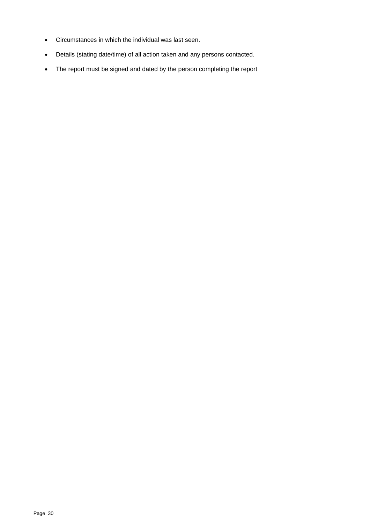- Circumstances in which the individual was last seen.
- Details (stating date/time) of all action taken and any persons contacted.
- The report must be signed and dated by the person completing the report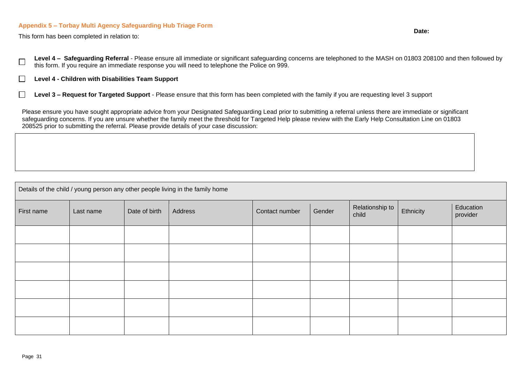#### **Appendix 5 – Torbay Multi Agency Safeguarding Hub Triage Form**

**Date:** 

This form has been completed in relation to:

**Level 4 – Safeguarding Referral** - Please ensure all immediate or significant safeguarding concerns are telephoned to the MASH on 01803 208100 and then followed by Г this form. If you require an immediate response you will need to telephone the Police on 999.

**Level 4 - Children with Disabilities Team Support**  $\Box$ 

**Level 3 – Request for Targeted Support** - Please ensure that this form has been completed with the family if you are requesting level 3 support  $\Box$ 

Please ensure you have sought appropriate advice from your Designated Safeguarding Lead prior to submitting a referral unless there are immediate or significant safeguarding concerns. If you are unsure whether the family meet the threshold for Targeted Help please review with the Early Help Consultation Line on 01803 208525 prior to submitting the referral. Please provide details of your case discussion:

| Details of the child / young person any other people living in the family home |           |               |         |                |        |                          |           |                       |
|--------------------------------------------------------------------------------|-----------|---------------|---------|----------------|--------|--------------------------|-----------|-----------------------|
| First name                                                                     | Last name | Date of birth | Address | Contact number | Gender | Relationship to<br>child | Ethnicity | Education<br>provider |
|                                                                                |           |               |         |                |        |                          |           |                       |
|                                                                                |           |               |         |                |        |                          |           |                       |
|                                                                                |           |               |         |                |        |                          |           |                       |
|                                                                                |           |               |         |                |        |                          |           |                       |
|                                                                                |           |               |         |                |        |                          |           |                       |
|                                                                                |           |               |         |                |        |                          |           |                       |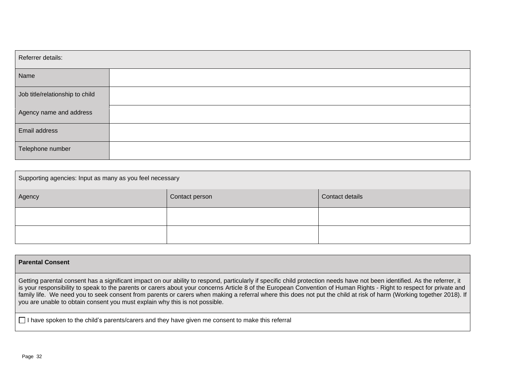| Referrer details:               |  |
|---------------------------------|--|
| Name                            |  |
| Job title/relationship to child |  |
| Agency name and address         |  |
| Email address                   |  |
| Telephone number                |  |

| Supporting agencies: Input as many as you feel necessary |  |  |  |  |
|----------------------------------------------------------|--|--|--|--|
| Contact details<br>Contact person<br>Agency              |  |  |  |  |
|                                                          |  |  |  |  |
|                                                          |  |  |  |  |

| <b>Parental Consent</b>                                                                                                                                                                                                                                                                                                                                                                                                                                                                                                                                                                                   |
|-----------------------------------------------------------------------------------------------------------------------------------------------------------------------------------------------------------------------------------------------------------------------------------------------------------------------------------------------------------------------------------------------------------------------------------------------------------------------------------------------------------------------------------------------------------------------------------------------------------|
| Getting parental consent has a significant impact on our ability to respond, particularly if specific child protection needs have not been identified. As the referrer, it<br>is your responsibility to speak to the parents or carers about your concerns Article 8 of the European Convention of Human Rights - Right to respect for private and<br>family life. We need you to seek consent from parents or carers when making a referral where this does not put the child at risk of harm (Working together 2018). If<br>you are unable to obtain consent you must explain why this is not possible. |

□ I have spoken to the child's parents/carers and they have given me consent to make this referral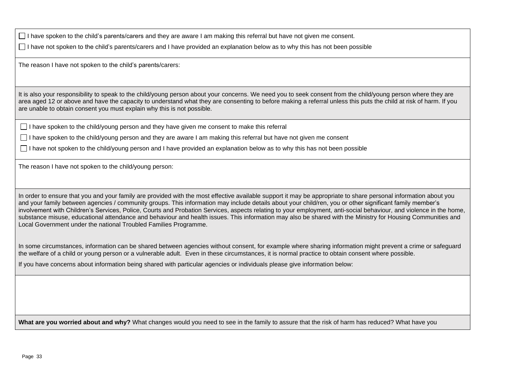$\Box$  I have spoken to the child's parents/carers and they are aware I am making this referral but have not given me consent.

 $\Box$  I have not spoken to the child's parents/carers and I have provided an explanation below as to why this has not been possible

The reason I have not spoken to the child's parents/carers:

It is also your responsibility to speak to the child/young person about your concerns. We need you to seek consent from the child/young person where they are area aged 12 or above and have the capacity to understand what they are consenting to before making a referral unless this puts the child at risk of harm. If you are unable to obtain consent you must explain why this is not possible.

 $\Box$  I have spoken to the child/young person and they have given me consent to make this referral

 $\Box$  I have spoken to the child/young person and they are aware I am making this referral but have not given me consent

 $\Box$  I have not spoken to the child/young person and I have provided an explanation below as to why this has not been possible

The reason I have not spoken to the child/young person:

In order to ensure that you and your family are provided with the most effective available support it may be appropriate to share personal information about you and your family between agencies / community groups. This information may include details about your child/ren, you or other significant family member's involvement with Children's Services, Police, Courts and Probation Services, aspects relating to your employment, anti-social behaviour, and violence in the home, substance misuse, educational attendance and behaviour and health issues. This information may also be shared with the Ministry for Housing Communities and Local Government under the national Troubled Families Programme.

In some circumstances, information can be shared between agencies without consent, for example where sharing information might prevent a crime or safeguard the welfare of a child or young person or a vulnerable adult. Even in these circumstances, it is normal practice to obtain consent where possible.

If you have concerns about information being shared with particular agencies or individuals please give information below:

**What are you worried about and why?** What changes would you need to see in the family to assure that the risk of harm has reduced? What have you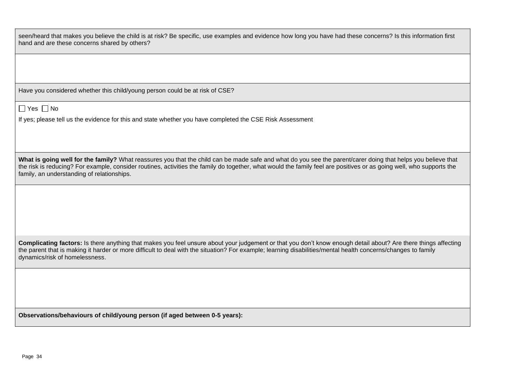seen/heard that makes you believe the child is at risk? Be specific, use examples and evidence how long you have had these concerns? Is this information first hand and are these concerns shared by others?

Have you considered whether this child/young person could be at risk of CSE?

 $\Box$  Yes  $\Box$  No

If yes; please tell us the evidence for this and state whether you have completed the CSE Risk Assessment

**What is going well for the family?** What reassures you that the child can be made safe and what do you see the parent/carer doing that helps you believe that the risk is reducing? For example, consider routines, activities the family do together, what would the family feel are positives or as going well, who supports the family, an understanding of relationships.

**Complicating factors:** Is there anything that makes you feel unsure about your judgement or that you don't know enough detail about? Are there things affecting the parent that is making it harder or more difficult to deal with the situation? For example; learning disabilities/mental health concerns/changes to family dynamics/risk of homelessness.

**Observations/behaviours of child/young person (if aged between 0-5 years):**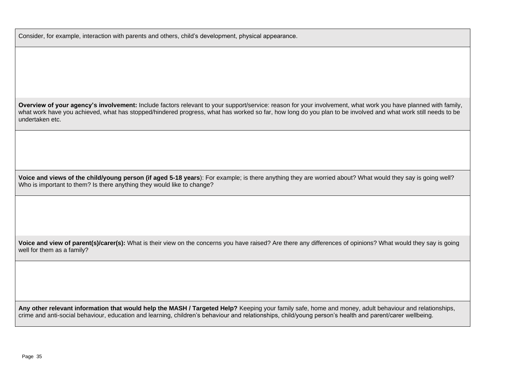Consider, for example, interaction with parents and others, child's development, physical appearance.

**Overview of your agency's involvement:** Include factors relevant to your support/service: reason for your involvement, what work you have planned with family, what work have you achieved, what has stopped/hindered progress, what has worked so far, how long do you plan to be involved and what work still needs to be undertaken etc.

**Voice and views of the child/young person (if aged 5-18 years**): For example; is there anything they are worried about? What would they say is going well? Who is important to them? Is there anything they would like to change?

**Voice and view of parent(s)/carer(s):** What is their view on the concerns you have raised? Are there any differences of opinions? What would they say is going well for them as a family?

**Any other relevant information that would help the MASH / Targeted Help?** Keeping your family safe, home and money, adult behaviour and relationships, crime and anti-social behaviour, education and learning, children's behaviour and relationships, child/young person's health and parent/carer wellbeing.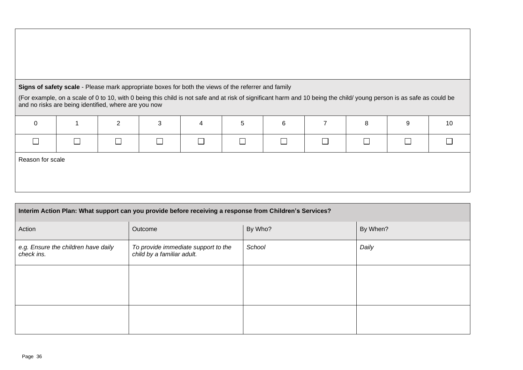| Signs of safety scale - Please mark appropriate boxes for both the views of the referrer and family |
|-----------------------------------------------------------------------------------------------------|
|-----------------------------------------------------------------------------------------------------|

(For example, on a scale of 0 to 10, with 0 being this child is not safe and at risk of significant harm and 10 being the child/ young person is as safe as could be and no risks are being identified, where are you now



| Interim Action Plan: What support can you provide before receiving a response from Children's Services? |                                                                   |         |          |  |  |  |
|---------------------------------------------------------------------------------------------------------|-------------------------------------------------------------------|---------|----------|--|--|--|
| Action                                                                                                  | Outcome                                                           | By Who? | By When? |  |  |  |
| e.g. Ensure the children have daily<br>check ins.                                                       | To provide immediate support to the<br>child by a familiar adult. | School  | Daily    |  |  |  |
|                                                                                                         |                                                                   |         |          |  |  |  |
|                                                                                                         |                                                                   |         |          |  |  |  |
|                                                                                                         |                                                                   |         |          |  |  |  |
|                                                                                                         |                                                                   |         |          |  |  |  |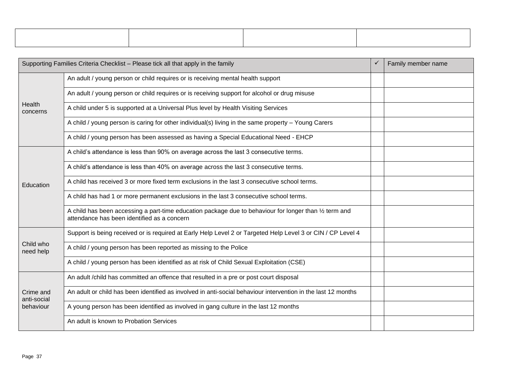|                                       | Supporting Families Criteria Checklist - Please tick all that apply in the family                                                                               |  | Family member name |
|---------------------------------------|-----------------------------------------------------------------------------------------------------------------------------------------------------------------|--|--------------------|
| Health<br>concerns                    | An adult / young person or child requires or is receiving mental health support                                                                                 |  |                    |
|                                       | An adult / young person or child requires or is receiving support for alcohol or drug misuse                                                                    |  |                    |
|                                       | A child under 5 is supported at a Universal Plus level by Health Visiting Services                                                                              |  |                    |
|                                       | A child / young person is caring for other individual(s) living in the same property - Young Carers                                                             |  |                    |
|                                       | A child / young person has been assessed as having a Special Educational Need - EHCP                                                                            |  |                    |
|                                       | A child's attendance is less than 90% on average across the last 3 consecutive terms.                                                                           |  |                    |
|                                       | A child's attendance is less than 40% on average across the last 3 consecutive terms.                                                                           |  |                    |
| Education                             | A child has received 3 or more fixed term exclusions in the last 3 consecutive school terms.                                                                    |  |                    |
|                                       | A child has had 1 or more permanent exclusions in the last 3 consecutive school terms.                                                                          |  |                    |
|                                       | A child has been accessing a part-time education package due to behaviour for longer than $\frac{1}{2}$ term and<br>attendance has been identified as a concern |  |                    |
|                                       | Support is being received or is required at Early Help Level 2 or Targeted Help Level 3 or CIN / CP Level 4                                                     |  |                    |
| Child who<br>need help                | A child / young person has been reported as missing to the Police                                                                                               |  |                    |
|                                       | A child / young person has been identified as at risk of Child Sexual Exploitation (CSE)                                                                        |  |                    |
| Crime and<br>anti-social<br>behaviour | An adult /child has committed an offence that resulted in a pre or post court disposal                                                                          |  |                    |
|                                       | An adult or child has been identified as involved in anti-social behaviour intervention in the last 12 months                                                   |  |                    |
|                                       | A young person has been identified as involved in gang culture in the last 12 months                                                                            |  |                    |
|                                       | An adult is known to Probation Services                                                                                                                         |  |                    |